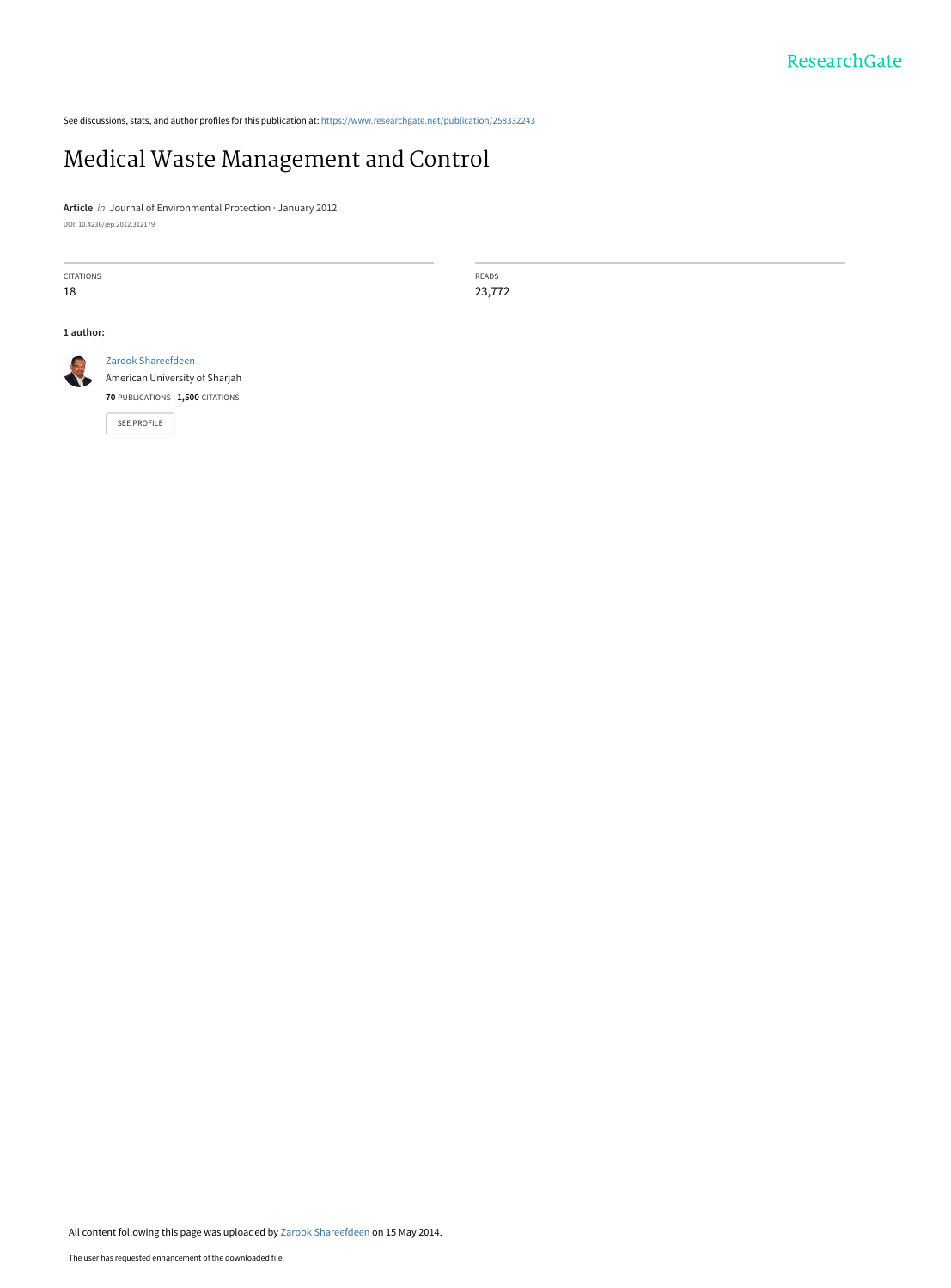See discussions, stats, and author profiles for this publication at: [https://www.researchgate.net/publication/258332243](https://www.researchgate.net/publication/258332243_Medical_Waste_Management_and_Control?enrichId=rgreq-730b1be23cdb0d014843d85c775f5d38-XXX&enrichSource=Y292ZXJQYWdlOzI1ODMzMjI0MztBUzo5NzE1ODczNjkwODI5MUAxNDAwMTc1ODU2NTky&el=1_x_2&_esc=publicationCoverPdf)

# [Medical Waste Management and Control](https://www.researchgate.net/publication/258332243_Medical_Waste_Management_and_Control?enrichId=rgreq-730b1be23cdb0d014843d85c775f5d38-XXX&enrichSource=Y292ZXJQYWdlOzI1ODMzMjI0MztBUzo5NzE1ODczNjkwODI5MUAxNDAwMTc1ODU2NTky&el=1_x_3&_esc=publicationCoverPdf)

**Article** in Journal of Environmental Protection · January 2012 DOI: 10.4236/jep.2012.312179

CITATIONS 18 **1 author:** [Zarook Shareefdeen](https://www.researchgate.net/profile/Zarook_Shareefdeen?enrichId=rgreq-730b1be23cdb0d014843d85c775f5d38-XXX&enrichSource=Y292ZXJQYWdlOzI1ODMzMjI0MztBUzo5NzE1ODczNjkwODI5MUAxNDAwMTc1ODU2NTky&el=1_x_5&_esc=publicationCoverPdf) [American University of Sharjah](https://www.researchgate.net/institution/American_University_of_Sharjah?enrichId=rgreq-730b1be23cdb0d014843d85c775f5d38-XXX&enrichSource=Y292ZXJQYWdlOzI1ODMzMjI0MztBUzo5NzE1ODczNjkwODI5MUAxNDAwMTc1ODU2NTky&el=1_x_6&_esc=publicationCoverPdf) **70** PUBLICATIONS **1,500** CITATIONS

[SEE PROFILE](https://www.researchgate.net/profile/Zarook_Shareefdeen?enrichId=rgreq-730b1be23cdb0d014843d85c775f5d38-XXX&enrichSource=Y292ZXJQYWdlOzI1ODMzMjI0MztBUzo5NzE1ODczNjkwODI5MUAxNDAwMTc1ODU2NTky&el=1_x_7&_esc=publicationCoverPdf)

READS 23,772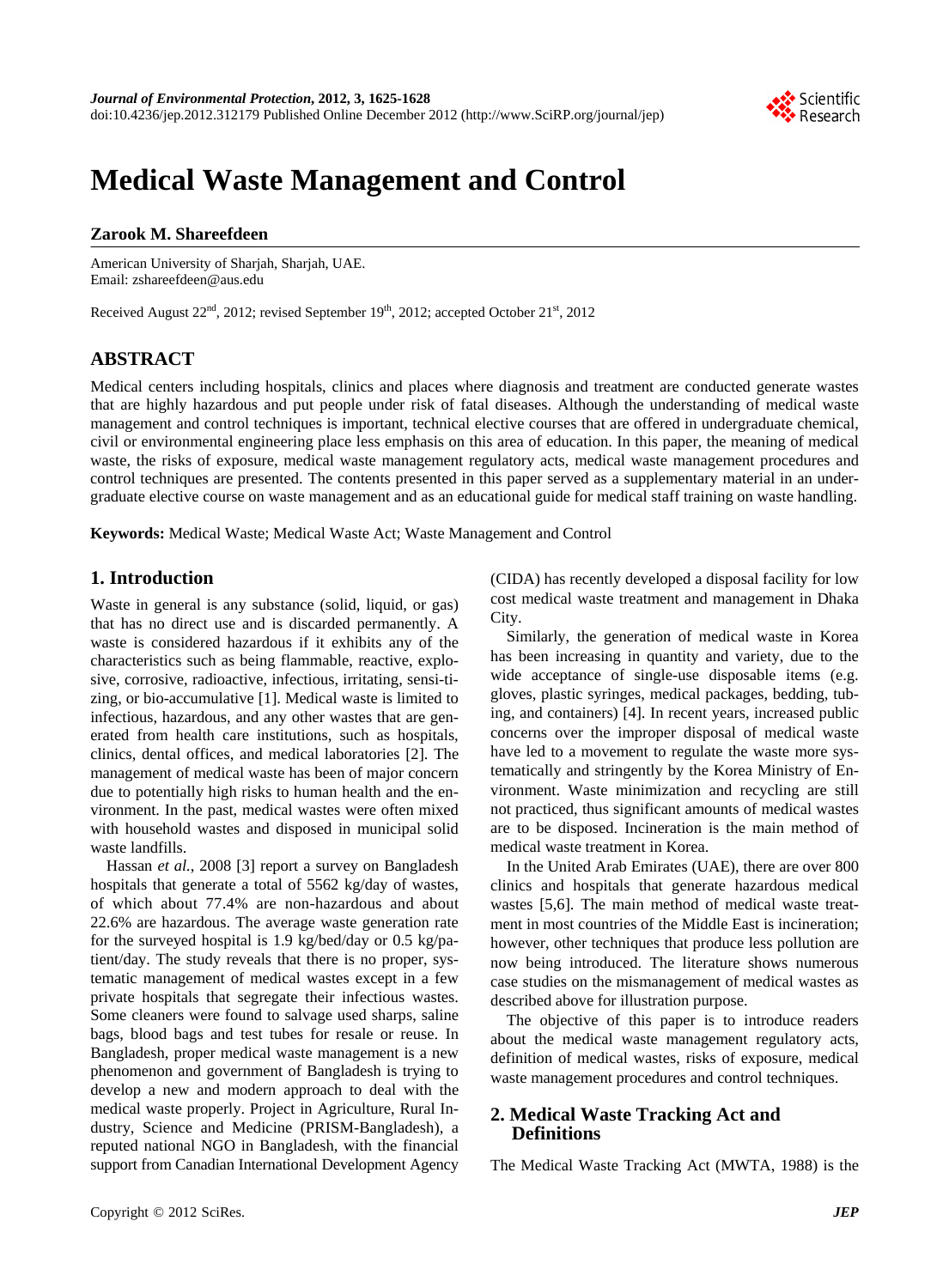

# **Medical Waste Management and Control**

### **Zarook M. Shareefdeen**

American University of Sharjah, Sharjah, UAE. Email: zshareefdeen@aus.edu

Received August  $22<sup>nd</sup>$ , 2012; revised September  $19<sup>th</sup>$ , 2012; accepted October  $21<sup>st</sup>$ , 2012

## **ABSTRACT**

Medical centers including hospitals, clinics and places where diagnosis and treatment are conducted generate wastes that are highly hazardous and put people under risk of fatal diseases. Although the understanding of medical waste management and control techniques is important, technical elective courses that are offered in undergraduate chemical, civil or environmental engineering place less emphasis on this area of education. In this paper, the meaning of medical waste, the risks of exposure, medical waste management regulatory acts, medical waste management procedures and control techniques are presented. The contents presented in this paper served as a supplementary material in an undergraduate elective course on waste management and as an educational guide for medical staff training on waste handling.

**Keywords:** Medical Waste; Medical Waste Act; Waste Management and Control

## **1. Introduction**

Waste in general is any substance (solid, liquid, or gas) that has no direct use and is discarded permanently. A waste is considered hazardous if it exhibits any of the characteristics such as being flammable, reactive, explosive, corrosive, radioactive, infectious, irritating, sensi-tizing, or bio-accumulative [1]. Medical waste is limited to infectious, hazardous, and any other wastes that are generated from health care institutions, such as hospitals, clinics, dental offices, and medical laboratories [2]. The management of medical waste has been of major concern due to potentially high risks to human health and the environment. In the past, medical wastes were often mixed with household wastes and disposed in municipal solid waste landfills.

Hassan *et al.*, 2008 [3] report a survey on Bangladesh hospitals that generate a total of 5562 kg/day of wastes, of which about 77.4% are non-hazardous and about 22.6% are hazardous. The average waste generation rate for the surveyed hospital is 1.9 kg/bed/day or 0.5 kg/patient/day. The study reveals that there is no proper, systematic management of medical wastes except in a few private hospitals that segregate their infectious wastes. Some cleaners were found to salvage used sharps, saline bags, blood bags and test tubes for resale or reuse. In Bangladesh, proper medical waste management is a new phenomenon and government of Bangladesh is trying to develop a new and modern approach to deal with the medical waste properly. Project in Agriculture, Rural Industry, Science and Medicine (PRISM-Bangladesh), a reputed national NGO in Bangladesh, with the financial support from Canadian International Development Agency

(CIDA) has recently developed a disposal facility for low cost medical waste treatment and management in Dhaka City.

Similarly, the generation of medical waste in Korea has been increasing in quantity and variety, due to the wide acceptance of single-use disposable items (e.g. gloves, plastic syringes, medical packages, bedding, tubing, and containers) [4]. In recent years, increased public concerns over the improper disposal of medical waste have led to a movement to regulate the waste more systematically and stringently by the Korea Ministry of Environment. Waste minimization and recycling are still not practiced, thus significant amounts of medical wastes are to be disposed. Incineration is the main method of medical waste treatment in Korea.

In the United Arab Emirates (UAE), there are over 800 clinics and hospitals that generate hazardous medical wastes [5,6]. The main method of medical waste treatment in most countries of the Middle East is incineration; however, other techniques that produce less pollution are now being introduced. The literature shows numerous case studies on the mismanagement of medical wastes as described above for illustration purpose.

The objective of this paper is to introduce readers about the medical waste management regulatory acts, definition of medical wastes, risks of exposure, medical waste management procedures and control techniques.

## **2. Medical Waste Tracking Act and Definitions**

The Medical Waste Tracking Act (MWTA, 1988) is the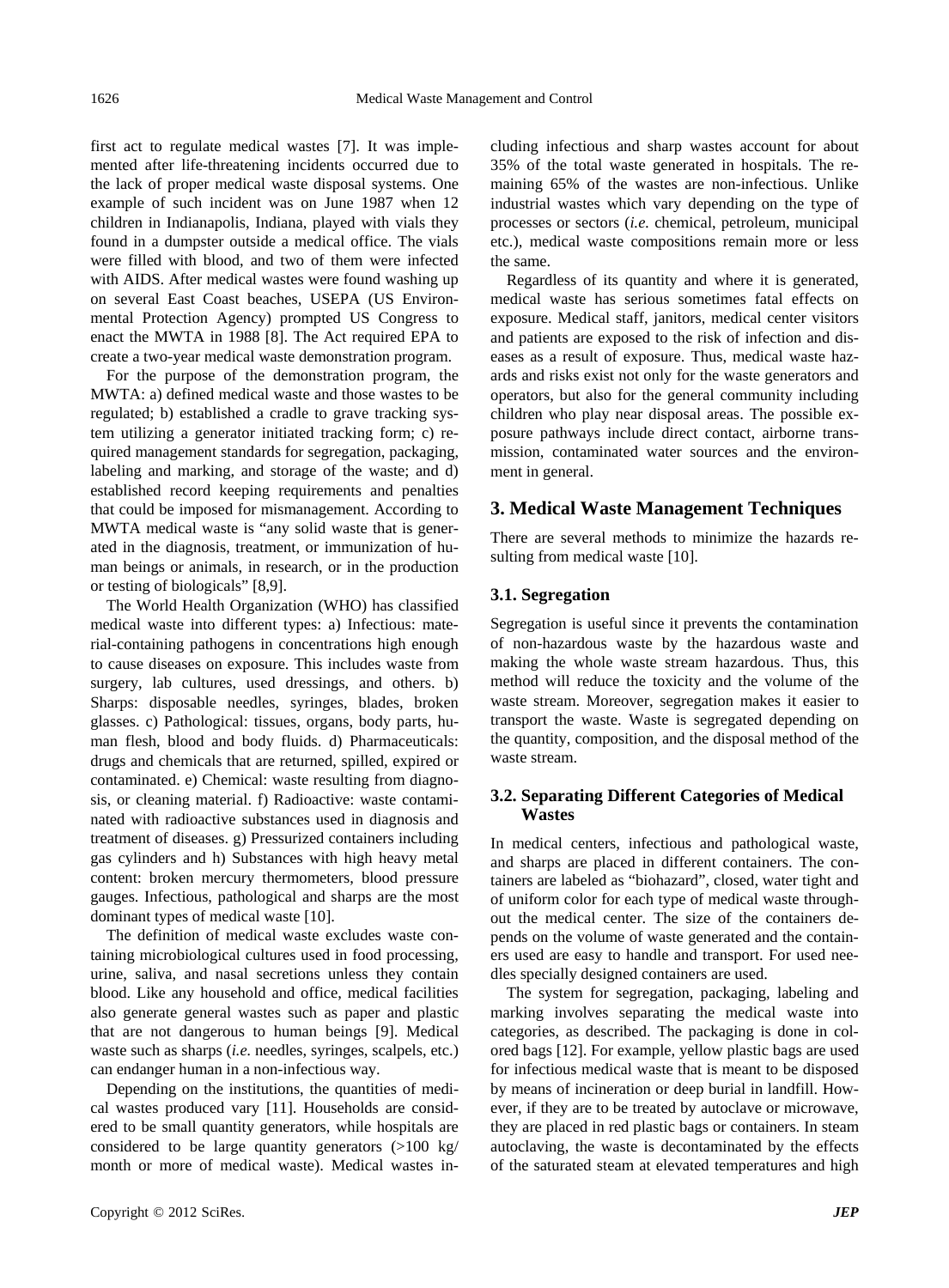first act to regulate medical wastes [7]. It was implemented after life-threatening incidents occurred due to the lack of proper medical waste disposal systems. One example of such incident was on June 1987 when 12 children in Indianapolis, Indiana, played with vials they found in a dumpster outside a medical office. The vials were filled with blood, and two of them were infected with AIDS. After medical wastes were found washing up on several East Coast beaches, USEPA (US Environmental Protection Agency) prompted US Congress to enact the MWTA in 1988 [8]. The Act required EPA to create a two-year medical waste demonstration program.

For the purpose of the demonstration program, the MWTA: a) defined medical waste and those wastes to be regulated; b) established a cradle to grave tracking system utilizing a generator initiated tracking form; c) required management standards for segregation, packaging, labeling and marking, and storage of the waste; and d) established record keeping requirements and penalties that could be imposed for mismanagement. According to MWTA medical waste is "any solid waste that is generated in the diagnosis, treatment, or immunization of human beings or animals, in research, or in the production or testing of biologicals" [8,9].

The World Health Organization (WHO) has classified medical waste into different types: a) Infectious: material-containing pathogens in concentrations high enough to cause diseases on exposure. This includes waste from surgery, lab cultures, used dressings, and others. b) Sharps: disposable needles, syringes, blades, broken glasses. c) Pathological: tissues, organs, body parts, human flesh, blood and body fluids. d) Pharmaceuticals: drugs and chemicals that are returned, spilled, expired or contaminated. e) Chemical: waste resulting from diagnosis, or cleaning material. f) Radioactive: waste contaminated with radioactive substances used in diagnosis and treatment of diseases. g) Pressurized containers including gas cylinders and h) Substances with high heavy metal content: broken mercury thermometers, blood pressure gauges. Infectious, pathological and sharps are the most dominant types of medical waste [10].

The definition of medical waste excludes waste containing microbiological cultures used in food processing, urine, saliva, and nasal secretions unless they contain blood. Like any household and office, medical facilities also generate general wastes such as paper and plastic that are not dangerous to human beings [9]. Medical waste such as sharps (*i.e.* needles, syringes, scalpels, etc.) can endanger human in a non-infectious way.

Depending on the institutions, the quantities of medical wastes produced vary [11]. Households are considered to be small quantity generators, while hospitals are considered to be large quantity generators (>100 kg/ month or more of medical waste). Medical wastes including infectious and sharp wastes account for about 35% of the total waste generated in hospitals. The remaining 65% of the wastes are non-infectious. Unlike industrial wastes which vary depending on the type of processes or sectors (*i.e.* chemical, petroleum, municipal etc.), medical waste compositions remain more or less the same.

Regardless of its quantity and where it is generated, medical waste has serious sometimes fatal effects on exposure. Medical staff, janitors, medical center visitors and patients are exposed to the risk of infection and diseases as a result of exposure. Thus, medical waste hazards and risks exist not only for the waste generators and operators, but also for the general community including children who play near disposal areas. The possible exposure pathways include direct contact, airborne transmission, contaminated water sources and the environment in general.

#### **3. Medical Waste Management Techniques**

There are several methods to minimize the hazards resulting from medical waste [10].

#### **3.1. Segregation**

Segregation is useful since it prevents the contamination of non-hazardous waste by the hazardous waste and making the whole waste stream hazardous. Thus, this method will reduce the toxicity and the volume of the waste stream. Moreover, segregation makes it easier to transport the waste. Waste is segregated depending on the quantity, composition, and the disposal method of the waste stream.

#### **3.2. Separating Different Categories of Medical Wastes**

In medical centers, infectious and pathological waste, and sharps are placed in different containers. The containers are labeled as "biohazard", closed, water tight and of uniform color for each type of medical waste throughout the medical center. The size of the containers depends on the volume of waste generated and the containers used are easy to handle and transport. For used needles specially designed containers are used.

The system for segregation, packaging, labeling and marking involves separating the medical waste into categories, as described. The packaging is done in colored bags [12]. For example, yellow plastic bags are used for infectious medical waste that is meant to be disposed by means of incineration or deep burial in landfill. However, if they are to be treated by autoclave or microwave, they are placed in red plastic bags or containers. In steam autoclaving, the waste is decontaminated by the effects of the saturated steam at elevated temperatures and high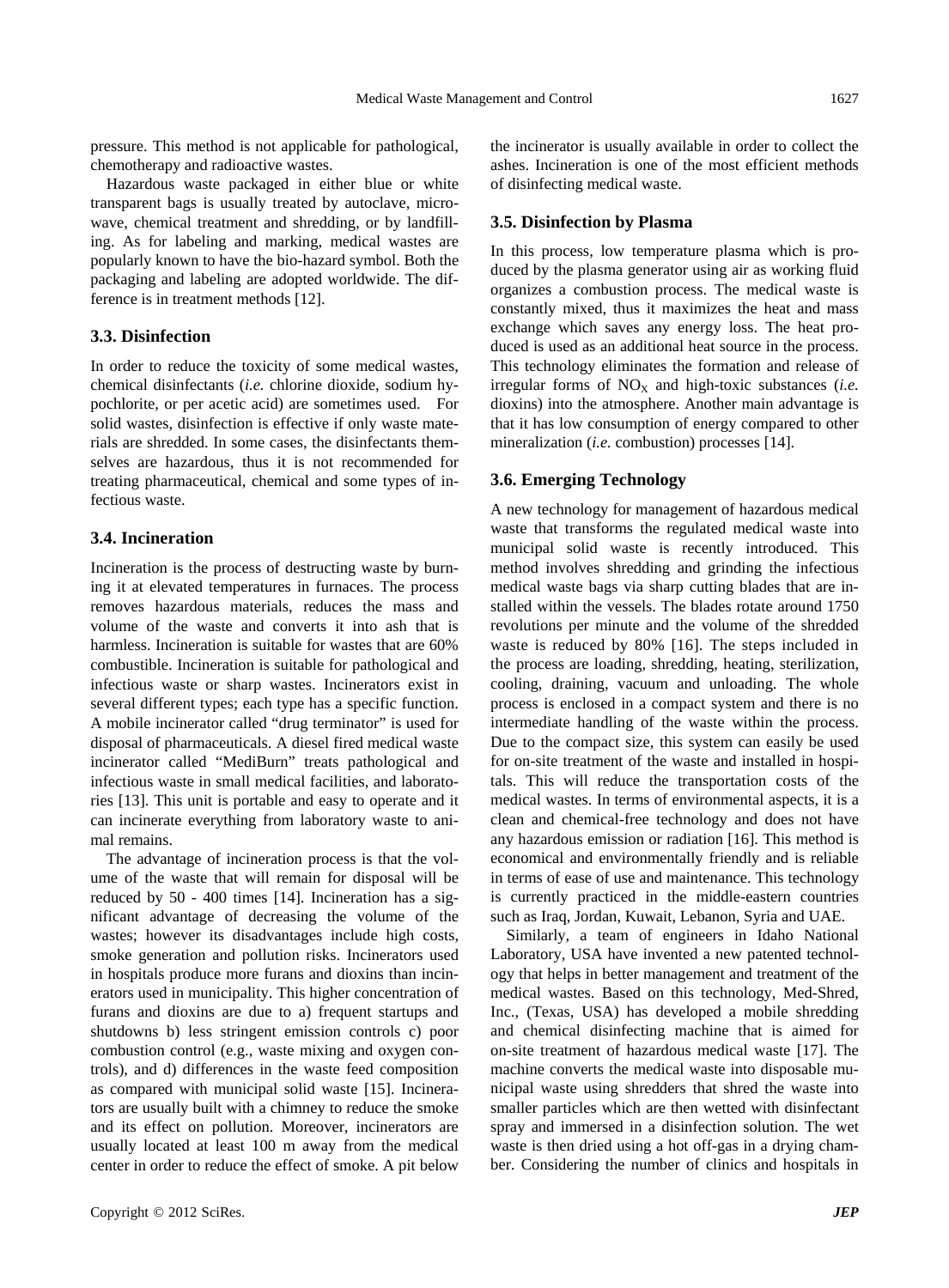pressure. This method is not applicable for pathological, chemotherapy and radioactive wastes.

Hazardous waste packaged in either blue or white transparent bags is usually treated by autoclave, microwave, chemical treatment and shredding, or by landfilling. As for labeling and marking, medical wastes are popularly known to have the bio-hazard symbol. Both the packaging and labeling are adopted worldwide. The difference is in treatment methods [12].

## **3.3. Disinfection**

In order to reduce the toxicity of some medical wastes, chemical disinfectants (*i.e.* chlorine dioxide, sodium hypochlorite, or per acetic acid) are sometimes used. For solid wastes, disinfection is effective if only waste materials are shredded. In some cases, the disinfectants themselves are hazardous, thus it is not recommended for treating pharmaceutical, chemical and some types of infectious waste.

#### **3.4. Incineration**

Incineration is the process of destructing waste by burning it at elevated temperatures in furnaces. The process removes hazardous materials, reduces the mass and volume of the waste and converts it into ash that is harmless. Incineration is suitable for wastes that are 60% combustible. Incineration is suitable for pathological and infectious waste or sharp wastes. Incinerators exist in several different types; each type has a specific function. A mobile incinerator called "drug terminator" is used for disposal of pharmaceuticals. A diesel fired medical waste incinerator called "MediBurn" treats pathological and infectious waste in small medical facilities, and laboratories [13]. This unit is portable and easy to operate and it can incinerate everything from laboratory waste to animal remains.

The advantage of incineration process is that the volume of the waste that will remain for disposal will be reduced by 50 - 400 times [14]. Incineration has a significant advantage of decreasing the volume of the wastes; however its disadvantages include high costs, smoke generation and pollution risks. Incinerators used in hospitals produce more furans and dioxins than incinerators used in municipality. This higher concentration of furans and dioxins are due to a) frequent startups and shutdowns b) less stringent emission controls c) poor combustion control (e.g., waste mixing and oxygen controls), and d) differences in the waste feed composition as compared with municipal solid waste [15]. Incinerators are usually built with a chimney to reduce the smoke and its effect on pollution. Moreover, incinerators are usually located at least 100 m away from the medical center in order to reduce the effect of smoke. A pit below

the incinerator is usually available in order to collect the ashes. Incineration is one of the most efficient methods of disinfecting medical waste.

#### **3.5. Disinfection by Plasma**

In this process, low temperature plasma which is produced by the plasma generator using air as working fluid organizes a combustion process. The medical waste is constantly mixed, thus it maximizes the heat and mass exchange which saves any energy loss. The heat produced is used as an additional heat source in the process. This technology eliminates the formation and release of irregular forms of  $NO<sub>X</sub>$  and high-toxic substances (*i.e.* dioxins) into the atmosphere. Another main advantage is that it has low consumption of energy compared to other mineralization (*i.e.* combustion) processes [14].

#### **3.6. Emerging Technology**

A new technology for management of hazardous medical waste that transforms the regulated medical waste into municipal solid waste is recently introduced. This method involves shredding and grinding the infectious medical waste bags via sharp cutting blades that are installed within the vessels. The blades rotate around 1750 revolutions per minute and the volume of the shredded waste is reduced by 80% [16]. The steps included in the process are loading, shredding, heating, sterilization, cooling, draining, vacuum and unloading. The whole process is enclosed in a compact system and there is no intermediate handling of the waste within the process. Due to the compact size, this system can easily be used for on-site treatment of the waste and installed in hospitals. This will reduce the transportation costs of the medical wastes. In terms of environmental aspects, it is a clean and chemical-free technology and does not have any hazardous emission or radiation [16]. This method is economical and environmentally friendly and is reliable in terms of ease of use and maintenance. This technology is currently practiced in the middle-eastern countries such as Iraq, Jordan, Kuwait, Lebanon, Syria and UAE.

Similarly, a team of engineers in Idaho National Laboratory, USA have invented a new patented technology that helps in better management and treatment of the medical wastes. Based on this technology, Med-Shred, Inc., (Texas, USA) has developed a mobile shredding and chemical disinfecting machine that is aimed for on-site treatment of hazardous medical waste [17]. The machine converts the medical waste into disposable municipal waste using shredders that shred the waste into smaller particles which are then wetted with disinfectant spray and immersed in a disinfection solution. The wet waste is then dried using a hot off-gas in a drying chamber. Considering the number of clinics and hospitals in